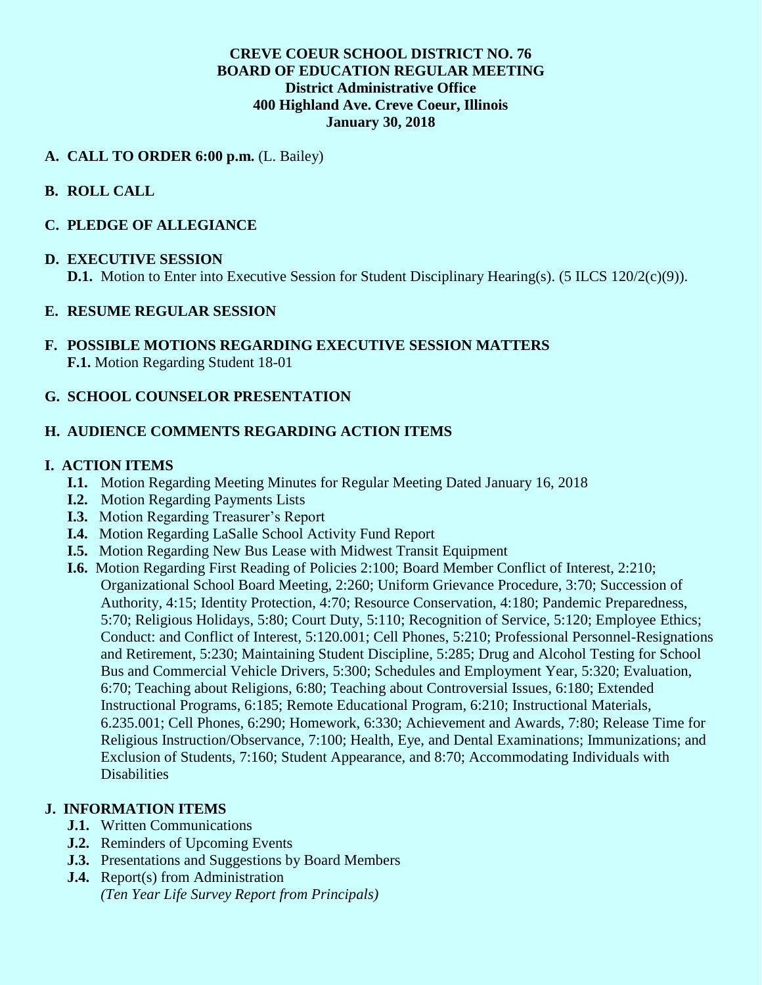## **CREVE COEUR SCHOOL DISTRICT NO. 76 BOARD OF EDUCATION REGULAR MEETING District Administrative Office 400 Highland Ave. Creve Coeur, Illinois January 30, 2018**

## **A. CALL TO ORDER 6:00 p.m.** (L. Bailey)

# **B. ROLL CALL**

### **C. PLEDGE OF ALLEGIANCE**

#### **D. EXECUTIVE SESSION**

**D.1.** Motion to Enter into Executive Session for Student Disciplinary Hearing(s). (5 ILCS 120/2(c)(9)).

### **E. RESUME REGULAR SESSION**

**F. POSSIBLE MOTIONS REGARDING EXECUTIVE SESSION MATTERS F.1.** Motion Regarding Student 18-01

## **G. SCHOOL COUNSELOR PRESENTATION**

# **H. AUDIENCE COMMENTS REGARDING ACTION ITEMS**

#### **I. ACTION ITEMS**

- **I.1.** Motion Regarding Meeting Minutes for Regular Meeting Dated January 16, 2018
- **I.2.** Motion Regarding Payments Lists
- **I.3.** Motion Regarding Treasurer's Report
- **I.4.** Motion Regarding LaSalle School Activity Fund Report
- **I.5.** Motion Regarding New Bus Lease with Midwest Transit Equipment
- **I.6.** Motion Regarding First Reading of Policies 2:100; Board Member Conflict of Interest, 2:210; Organizational School Board Meeting, 2:260; Uniform Grievance Procedure, 3:70; Succession of Authority, 4:15; Identity Protection, 4:70; Resource Conservation, 4:180; Pandemic Preparedness, 5:70; Religious Holidays, 5:80; Court Duty, 5:110; Recognition of Service, 5:120; Employee Ethics; Conduct: and Conflict of Interest, 5:120.001; Cell Phones, 5:210; Professional Personnel-Resignations and Retirement, 5:230; Maintaining Student Discipline, 5:285; Drug and Alcohol Testing for School Bus and Commercial Vehicle Drivers, 5:300; Schedules and Employment Year, 5:320; Evaluation, 6:70; Teaching about Religions, 6:80; Teaching about Controversial Issues, 6:180; Extended Instructional Programs, 6:185; Remote Educational Program, 6:210; Instructional Materials, 6.235.001; Cell Phones, 6:290; Homework, 6:330; Achievement and Awards, 7:80; Release Time for Religious Instruction/Observance, 7:100; Health, Eye, and Dental Examinations; Immunizations; and Exclusion of Students, 7:160; Student Appearance, and 8:70; Accommodating Individuals with **Disabilities**

# **J. INFORMATION ITEMS**

- **J.1.** Written Communications
- **J.2.** Reminders of Upcoming Events
- **J.3.** Presentations and Suggestions by Board Members
- **J.4.** Report(s) from Administration *(Ten Year Life Survey Report from Principals)*